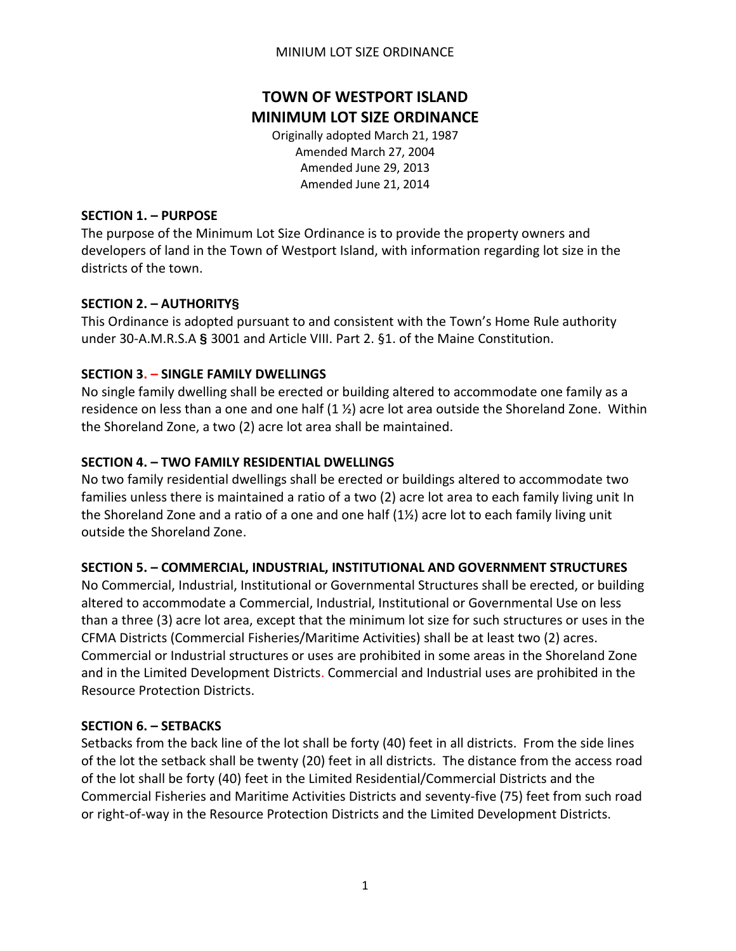#### MINIUM LOT SIZE ORDINANCE

# **TOWN OF WESTPORT ISLAND MINIMUM LOT SIZE ORDINANCE**

Originally adopted March 21, 1987 Amended March 27, 2004 Amended June 29, 2013 Amended June 21, 2014

#### **SECTION 1. – PURPOSE**

The purpose of the Minimum Lot Size Ordinance is to provide the property owners and developers of land in the Town of Westport Island, with information regarding lot size in the districts of the town.

## **SECTION 2. – AUTHORITY§**

This Ordinance is adopted pursuant to and consistent with the Town's Home Rule authority under 30-A.M.R.S.A **§** 3001 and Article VIII. Part 2. §1. of the Maine Constitution.

## **SECTION 3. – SINGLE FAMILY DWELLINGS**

No single family dwelling shall be erected or building altered to accommodate one family as a residence on less than a one and one half  $(1 \frac{1}{2})$  acre lot area outside the Shoreland Zone. Within the Shoreland Zone, a two (2) acre lot area shall be maintained.

## **SECTION 4. – TWO FAMILY RESIDENTIAL DWELLINGS**

No two family residential dwellings shall be erected or buildings altered to accommodate two families unless there is maintained a ratio of a two (2) acre lot area to each family living unit In the Shoreland Zone and a ratio of a one and one half (1½) acre lot to each family living unit outside the Shoreland Zone.

# **SECTION 5. – COMMERCIAL, INDUSTRIAL, INSTITUTIONAL AND GOVERNMENT STRUCTURES**

No Commercial, Industrial, Institutional or Governmental Structures shall be erected, or building altered to accommodate a Commercial, Industrial, Institutional or Governmental Use on less than a three (3) acre lot area, except that the minimum lot size for such structures or uses in the CFMA Districts (Commercial Fisheries/Maritime Activities) shall be at least two (2) acres. Commercial or Industrial structures or uses are prohibited in some areas in the Shoreland Zone and in the Limited Development Districts. Commercial and Industrial uses are prohibited in the Resource Protection Districts.

## **SECTION 6. – SETBACKS**

Setbacks from the back line of the lot shall be forty (40) feet in all districts. From the side lines of the lot the setback shall be twenty (20) feet in all districts. The distance from the access road of the lot shall be forty (40) feet in the Limited Residential/Commercial Districts and the Commercial Fisheries and Maritime Activities Districts and seventy-five (75) feet from such road or right-of-way in the Resource Protection Districts and the Limited Development Districts.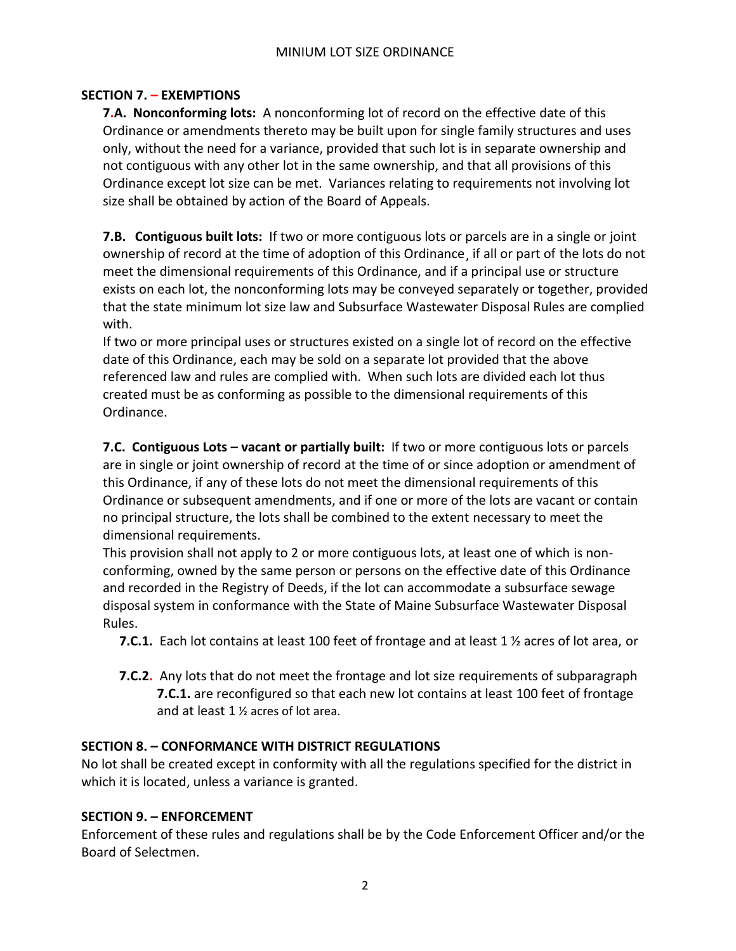## **SECTION 7. – EXEMPTIONS**

**7.A. Nonconforming lots:** A nonconforming lot of record on the effective date of this Ordinance or amendments thereto may be built upon for single family structures and uses only, without the need for a variance, provided that such lot is in separate ownership and not contiguous with any other lot in the same ownership, and that all provisions of this Ordinance except lot size can be met. Variances relating to requirements not involving lot size shall be obtained by action of the Board of Appeals.

**7.B. Contiguous built lots:** If two or more contiguous lots or parcels are in a single or joint ownership of record at the time of adoption of this Ordinance¸ if all or part of the lots do not meet the dimensional requirements of this Ordinance, and if a principal use or structure exists on each lot, the nonconforming lots may be conveyed separately or together, provided that the state minimum lot size law and Subsurface Wastewater Disposal Rules are complied with.

If two or more principal uses or structures existed on a single lot of record on the effective date of this Ordinance, each may be sold on a separate lot provided that the above referenced law and rules are complied with. When such lots are divided each lot thus created must be as conforming as possible to the dimensional requirements of this Ordinance.

**7.C. Contiguous Lots – vacant or partially built:** If two or more contiguous lots or parcels are in single or joint ownership of record at the time of or since adoption or amendment of this Ordinance, if any of these lots do not meet the dimensional requirements of this Ordinance or subsequent amendments, and if one or more of the lots are vacant or contain no principal structure, the lots shall be combined to the extent necessary to meet the dimensional requirements.

This provision shall not apply to 2 or more contiguous lots, at least one of which is nonconforming, owned by the same person or persons on the effective date of this Ordinance and recorded in the Registry of Deeds, if the lot can accommodate a subsurface sewage disposal system in conformance with the State of Maine Subsurface Wastewater Disposal Rules.

 **7.C.1.** Each lot contains at least 100 feet of frontage and at least 1 ½ acres of lot area, or

**7.C.2.** Any lots that do not meet the frontage and lot size requirements of subparagraph **7.C.1.** are reconfigured so that each new lot contains at least 100 feet of frontage and at least 1 ½ acres of lot area.

# **SECTION 8. – CONFORMANCE WITH DISTRICT REGULATIONS**

No lot shall be created except in conformity with all the regulations specified for the district in which it is located, unless a variance is granted.

## **SECTION 9. – ENFORCEMENT**

Enforcement of these rules and regulations shall be by the Code Enforcement Officer and/or the Board of Selectmen.